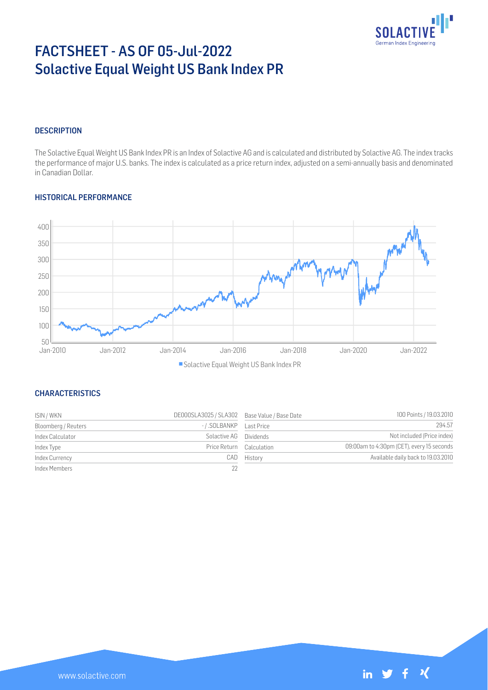

# FACTSHEET - AS OF 05-Jul-2022 Solactive Equal Weight US Bank Index PR

#### **DESCRIPTION**

The Solactive Equal Weight US Bank Index PR is an Index of Solactive AG and is calculated and distributed by Solactive AG. The index tracks the performance of major U.S. banks. The index is calculated as a price return index, adjusted on a semi-annually basis and denominated in Canadian Dollar.

#### HISTORICAL PERFORMANCE



## Solactive Equal Weight US Bank Index PR

## **CHARACTERISTICS**

| ISIN / WKN          | DE000SLA3025 / SLA302 Base Value / Base Date |             | 100 Points / 19.03.2010                   |
|---------------------|----------------------------------------------|-------------|-------------------------------------------|
| Bloomberg / Reuters |                                              |             | 294.57                                    |
| Index Calculator    | Solactive AG Dividends                       |             | Not included (Price index)                |
| Index Type          | Price Return Calculation                     |             | 09:00am to 4:30pm (CET), every 15 seconds |
| Index Currency      |                                              | CAD History | Available daily back to 19.03.2010        |
| Index Members       |                                              |             |                                           |

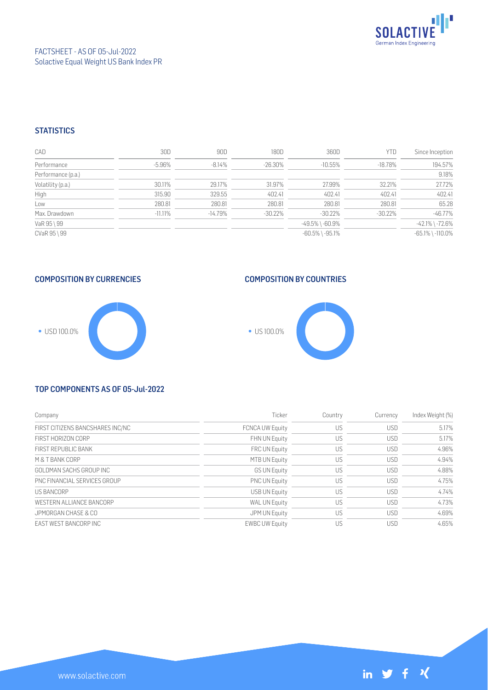

#### **STATISTICS**

| CAD                | 30D        | 90D        | 180D      | 360D                  | <b>YTD</b> | Since Inception        |
|--------------------|------------|------------|-----------|-----------------------|------------|------------------------|
| Performance        | $-5.96%$   | $-8.14\%$  | $-26.30%$ | $-10.55%$             | $-18.78\%$ | 194.57%                |
| Performance (p.a.) |            |            |           |                       |            | 9.18%                  |
| Volatility (p.a.)  | 30.11%     | 29.17%     | 31.97%    | 27.99%                | 32.21%     | 27.72%                 |
| High               | 315.90     | 329.55     | 402.41    | 402.41                | 402.41     | 402.41                 |
| Low                | 280.81     | 280.81     | 280.81    | 280.81                | 280.81     | 65.28                  |
| Max. Drawdown      | $-11.11\%$ | $-14.79\%$ | $-30.22%$ | $-30.22%$             | $-30.22%$  | $-46.77%$              |
| VaR 95 \ 99        |            |            |           | $-49.5\%$ \ $-60.9\%$ |            | $-42.1\%$ \ $-72.6\%$  |
| CVaR 95 \ 99       |            |            |           | $-60.5\%$ \ $-95.1\%$ |            | $-65.1\%$ \ $-110.0\%$ |

## COMPOSITION BY CURRENCIES



#### COMPOSITION BY COUNTRIES



#### TOP COMPONENTS AS OF 05-Jul-2022

| Company                          | Ticker                 | Country | Currency   | Index Weight (%) |
|----------------------------------|------------------------|---------|------------|------------------|
| FIRST CITIZENS BANCSHARES INC/NC | <b>FCNCA UW Equity</b> | US      | <b>USD</b> | 5.17%            |
| FIRST HORIZON CORP               | FHN UN Equity          | US      | <b>USD</b> | 5.17%            |
| FIRST REPUBLIC BANK              | FRC UN Equity          | US      | <b>USD</b> | 4.96%            |
| M & T BANK CORP                  | MTB UN Equity          | US      | <b>USD</b> | 4.94%            |
| GOLDMAN SACHS GROUP INC          | <b>GS UN Equity</b>    | US      | <b>USD</b> | 4.88%            |
| PNC FINANCIAL SERVICES GROUP     | <b>PNC UN Equity</b>   | US      | <b>USD</b> | 4.75%            |
| <b>US BANCORP</b>                | USB UN Equity          | US      | <b>USD</b> | 4.74%            |
| WESTERN ALLIANCE BANCORP         | WAL UN Equity          | US      | <b>USD</b> | 4.73%            |
| JPMORGAN CHASE & CO              | JPM UN Equity          | US      | <b>USD</b> | 4.69%            |
| EAST WEST BANCORP INC            | <b>EWBC UW Equity</b>  | US      | <b>USD</b> | 4.65%            |